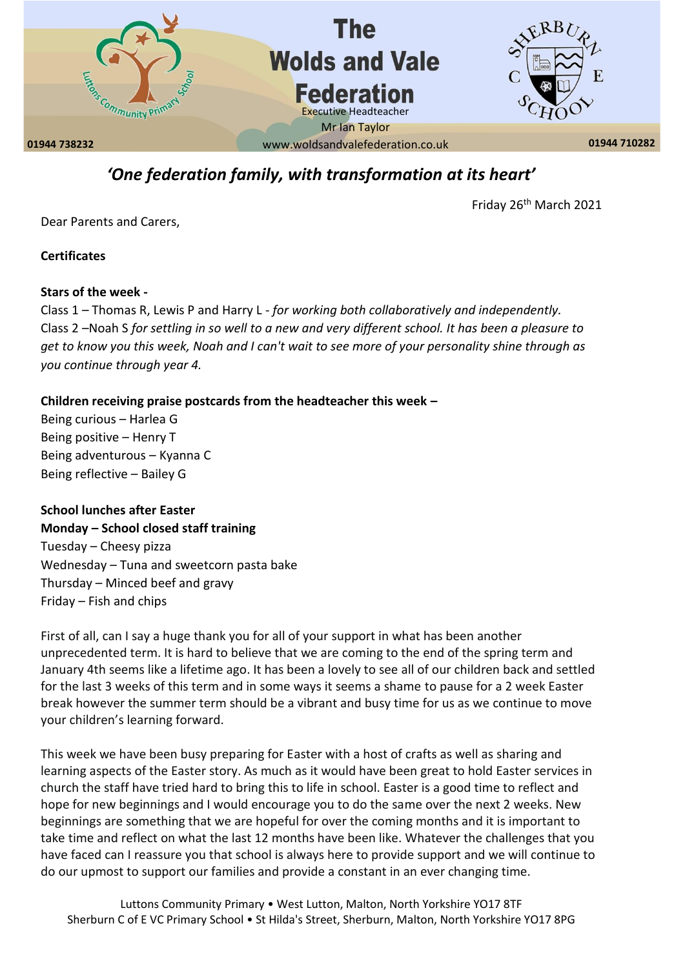

# *'One federation family, with transformation at its heart'*

Friday 26th March 2021

Dear Parents and Carers,

**Certificates** 

#### **Stars of the week -**

Class 1 – Thomas R, Lewis P and Harry L - *for working both collaboratively and independently.* Class 2 –Noah S *for settling in so well to a new and very different school. It has been a pleasure to get to know you this week, Noah and I can't wait to see more of your personality shine through as you continue through year 4.*

#### **Children receiving praise postcards from the headteacher this week –**

Being curious – Harlea G Being positive – Henry T Being adventurous – Kyanna C Being reflective – Bailey G

## **School lunches after Easter**

**Monday – School closed staff training** Tuesday – Cheesy pizza Wednesday – Tuna and sweetcorn pasta bake Thursday – Minced beef and gravy Friday – Fish and chips

First of all, can I say a huge thank you for all of your support in what has been another unprecedented term. It is hard to believe that we are coming to the end of the spring term and January 4th seems like a lifetime ago. It has been a lovely to see all of our children back and settled for the last 3 weeks of this term and in some ways it seems a shame to pause for a 2 week Easter break however the summer term should be a vibrant and busy time for us as we continue to move your children's learning forward.

This week we have been busy preparing for Easter with a host of crafts as well as sharing and learning aspects of the Easter story. As much as it would have been great to hold Easter services in church the staff have tried hard to bring this to life in school. Easter is a good time to reflect and hope for new beginnings and I would encourage you to do the same over the next 2 weeks. New beginnings are something that we are hopeful for over the coming months and it is important to take time and reflect on what the last 12 months have been like. Whatever the challenges that you have faced can I reassure you that school is always here to provide support and we will continue to do our upmost to support our families and provide a constant in an ever changing time.